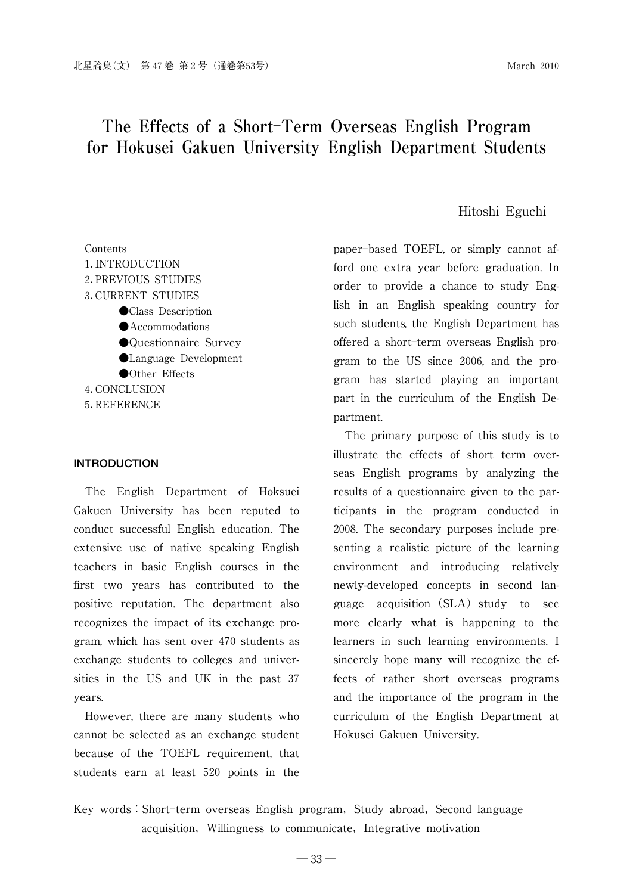# **The Effects of a ShortTerm Overseas English Program for Hokusei Gakuen University English Department Students**

#### Hitoshi Eguchi

paper-based TOEFL, or simply cannot afford one extra year before graduation. In order to provide a chance to study English in an English speaking country for such students, the English Department has offered a short-term overseas English program to the US since 2006, and the program has started playing an important part in the curriculum of the English Department.

> The primary purpose of this study is to illustrate the effects of short term overseas English programs by analyzing the results of a questionnaire given to the participants in the program conducted in 2008. The secondary purposes include presenting a realistic picture of the learning environment and introducing relatively newly-developed concepts in second language acquisition  $(SLA)$  study to see more clearly what is happening to the learners in such learning environments. I sincerely hope many will recognize the effects of rather short overseas programs and the importance of the program in the curriculum of the English Department at Hokusei Gakuen University.

# Key words: Short-term overseas English program, Study abroad, Second language acquisition, Willingness to communicate, Integrative motivation

Contents 1.INTRODUCTION 2.PREVIOUS STUDIES 3.CURRENT STUDIES ●Class Description **•**Accommodations ●Questionnaire Survey ●Language Development ●Other Effects 4.CONCLUSION 5.REFERENCE

#### **INTRODUCTION**

The English Department of Hoksuei Gakuen University has been reputed to conduct successful English education. The extensive use of native speaking English teachers in basic English courses in the first two years has contributed to the positive reputation. The department also recognizes the impact of its exchange program, which has sent over 470 students as exchange students to colleges and universities in the US and UK in the past 37 years.

However, there are many students who cannot be selected as an exchange student because of the TOEFL requirement, that students earn at least 520 points in the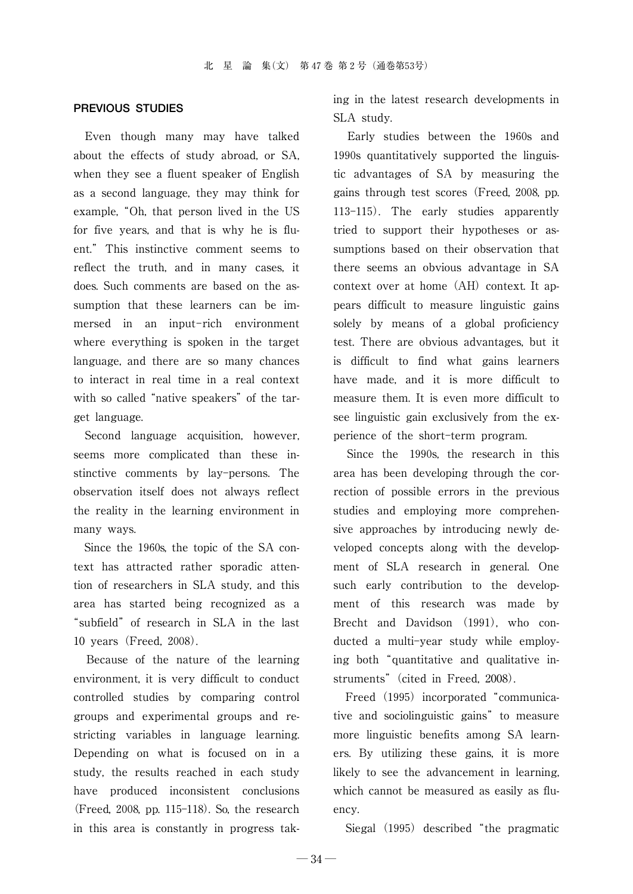#### **PREVIOUS STUDIES**

Even though many may have talked about the effects of study abroad, or SA, when they see a fluent speaker of English as a second language, they may think for example, "Oh, that person lived in the US for five years, and that is why he is fluent." This instinctive comment seems to reflect the truth, and in many cases, it does. Such comments are based on the assumption that these learners can be immersed in an input-rich environment where everything is spoken in the target language, and there are so many chances to interact in real time in a real context with so called "native speakers" of the target language.

Second language acquisition, however, seems more complicated than these instinctive comments by lay-persons. The observation itself does not always reflect the reality in the learning environment in many ways.

Since the 1960s, the topic of the SA context has attracted rather sporadic attention of researchers in SLA study, and this area has started being recognized as a "subfield"of research in SLA in the last 10 years(Freed, 2008).

Because of the nature of the learning environment, it is very difficult to conduct controlled studies by comparing control groups and experimental groups and restricting variables in language learning. Depending on what is focused on in a study, the results reached in each study have produced inconsistent conclusions (Freed, 2008, pp. 115-118). So, the research in this area is constantly in progress taking in the latest research developments in SLA study.

Early studies between the 1960s and 1990s quantitatively supported the linguistic advantages of SA by measuring the gains through test scores(Freed, 2008, pp. 113-115). The early studies apparently tried to support their hypotheses or assumptions based on their observation that there seems an obvious advantage in SA context over at home  $(AH)$  context. It appears difficult to measure linguistic gains solely by means of a global proficiency test. There are obvious advantages, but it is difficult to find what gains learners have made, and it is more difficult to measure them. It is even more difficult to see linguistic gain exclusively from the experience of the short-term program.

Since the 1990s, the research in this area has been developing through the correction of possible errors in the previous studies and employing more comprehensive approaches by introducing newly developed concepts along with the development of SLA research in general. One such early contribution to the development of this research was made by Brecht and Davidson (1991), who conducted a multi-year study while employing both"quantitative and qualitative instruments" (cited in Freed, 2008).

Freed (1995) incorporated "communicative and sociolinguistic gains" to measure more linguistic benefits among SA learners. By utilizing these gains, it is more likely to see the advancement in learning, which cannot be measured as easily as fluency.

Siegal (1995) described "the pragmatic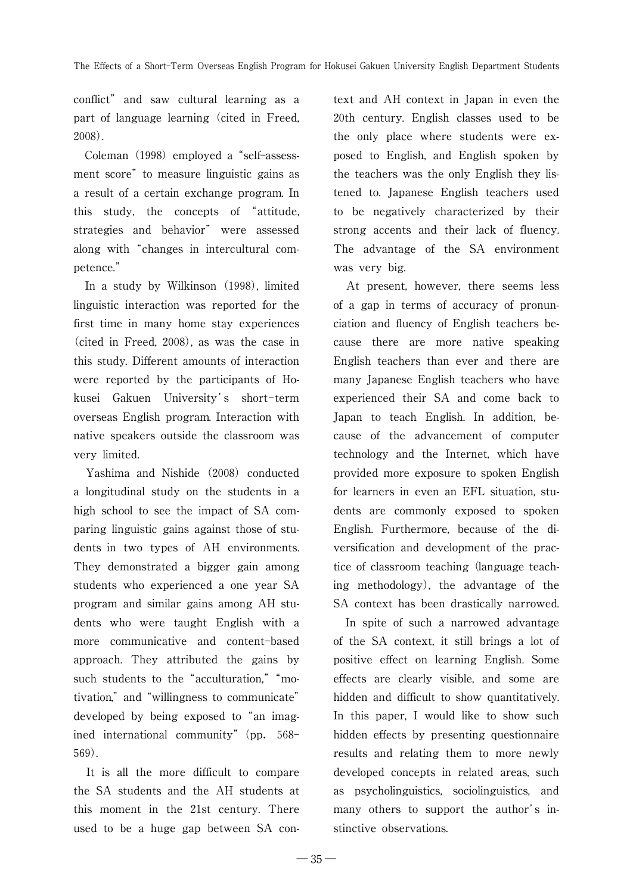conflict" and saw cultural learning as a part of language learning (cited in Freed, 2008).

Coleman (1998) employed a "self-assessment score" to measure linguistic gains as a result of a certain exchange program. In this study, the concepts of "attitude, strategies and behavior" were assessed along with "changes in intercultural competence."

In a study by Wilkinson (1998), limited linguistic interaction was reported for the first time in many home stay experiences (cited in Freed, 2008), as was the case in this study. Different amounts of interaction were reported by the participants of Hokusei Gakuen University's short-term overseas English program. Interaction with native speakers outside the classroom was very limited.

Yashima and Nishide (2008) conducted a longitudinal study on the students in a high school to see the impact of SA comparing linguistic gains against those of students in two types of AH environments. They demonstrated a bigger gain among students who experienced a one year SA program and similar gains among AH students who were taught English with a more communicative and content-based approach. They attributed the gains by such students to the "acculturation," "motivation,"and"willingness to communicate" developed by being exposed to "an imagined international community" (pp. 568-569).

It is all the more difficult to compare the SA students and the AH students at this moment in the 21st century. There used to be a huge gap between SA context and AH context in Japan in even the 20th century. English classes used to be the only place where students were exposed to English, and English spoken by the teachers was the only English they listened to. Japanese English teachers used to be negatively characterized by their strong accents and their lack of fluency. The advantage of the SA environment was very big.

At present, however, there seems less of a gap in terms of accuracy of pronunciation and fluency of English teachers because there are more native speaking English teachers than ever and there are many Japanese English teachers who have experienced their SA and come back to Japan to teach English. In addition, because of the advancement of computer technology and the Internet, which have provided more exposure to spoken English for learners in even an EFL situation, students are commonly exposed to spoken English. Furthermore, because of the diversification and development of the practice of classroom teaching (language teaching methodology), the advantage of the SA context has been drastically narrowed.

In spite of such a narrowed advantage of the SA context, it still brings a lot of positive effect on learning English. Some effects are clearly visible, and some are hidden and difficult to show quantitatively. In this paper, I would like to show such hidden effects by presenting questionnaire results and relating them to more newly developed concepts in related areas, such as psycholinguistics, sociolinguistics, and many others to support the author's instinctive observations.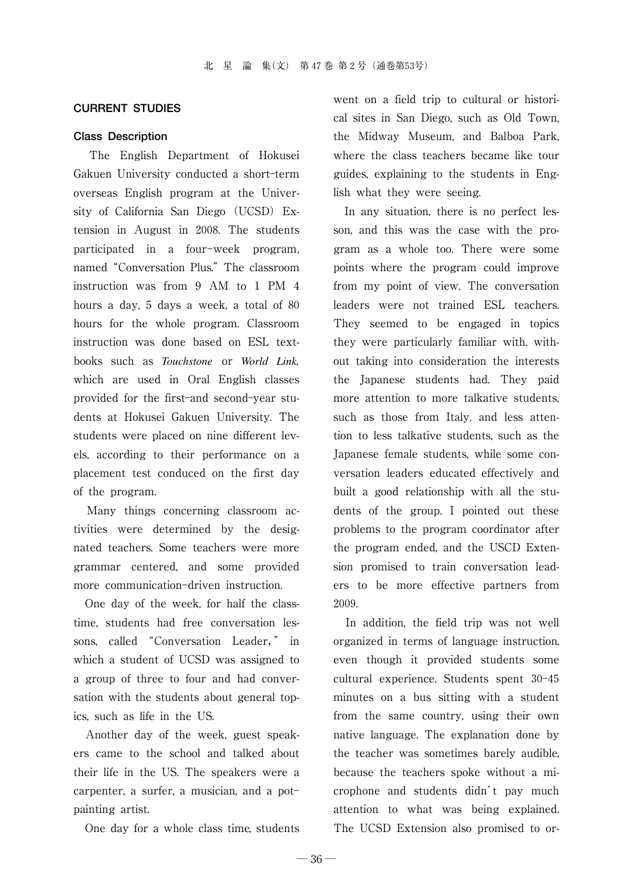#### **CURRENT STUDIES**

#### **Class Description**

The English Department of Hokusei Gakuen University conducted a short-term overseas English program at the University of California San Diego (UCSD) Extension in August in 2008. The students participated in a four-week program, named"Conversation Plus."The classroom instruction was from 9 AM to 1 PM 4 hours a day, 5 days a week, a total of 80 hours for the whole program. Classroom instruction was done based on ESL textbooks such as *Touchstone* or *World Link,* which are used in Oral English classes provided for the first-and second-year students at Hokusei Gakuen University. The students were placed on nine different levels, according to their performance on a placement test conduced on the first day of the program.

Many things concerning classroom activities were determined by the designated teachers. Some teachers were more grammar centered, and some provided more communication-driven instruction.

One day of the week, for half the classtime, students had free conversation lessons, called "Conversation Leader," in which a student of UCSD was assigned to a group of three to four and had conversation with the students about general topics, such as life in the US.

Another day of the week, guest speakers came to the school and talked about their life in the US. The speakers were a carpenter, a surfer, a musician, and a pot painting artist.

One day for a whole class time, students

went on a field trip to cultural or historical sites in San Diego, such as Old Town, the Midway Museum, and Balboa Park, where the class teachers became like tour guides, explaining to the students in English what they were seeing.

In any situation, there is no perfect lesson, and this was the case with the program as a whole too. There were some points where the program could improve from my point of view. The conversation leaders were not trained ESL teachers. They seemed to be engaged in topics they were particularly familiar with, without taking into consideration the interests the Japanese students had. They paid more attention to more talkative students, such as those from Italy, and less attention to less talkative students, such as the Japanese female students, while some conversation leaders educated effectively and built a good relationship with all the students of the group. I pointed out these problems to the program coordinator after the program ended, and the USCD Extension promised to train conversation leaders to be more effective partners from 2009.

In addition, the field trip was not well organized in terms of language instruction, even though it provided students some cultural experience. Students spent 30-45 minutes on a bus sitting with a student from the same country, using their own native language. The explanation done by the teacher was sometimes barely audible, because the teachers spoke without a microphone and students didn't pay much attention to what was being explained. The UCSD Extension also promised to or-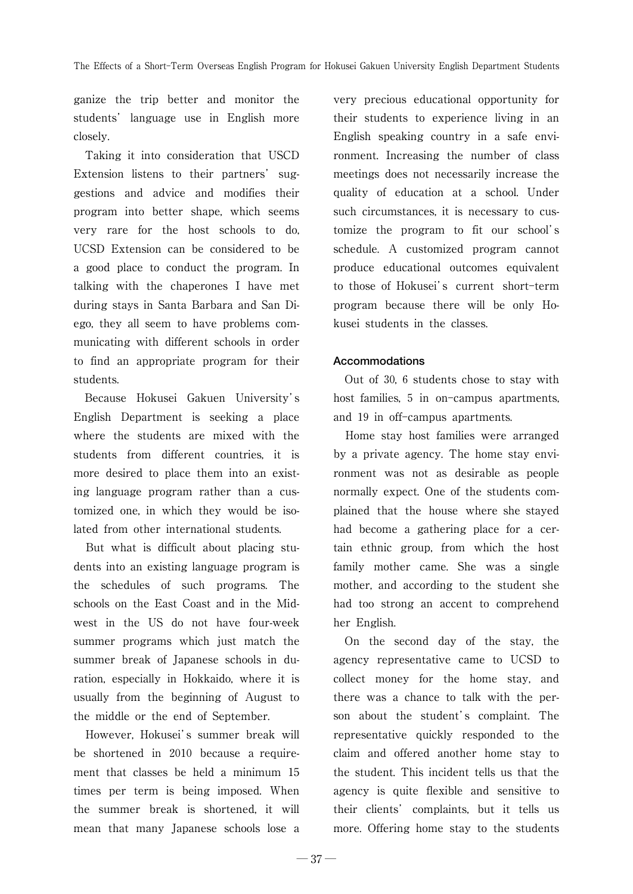ganize the trip better and monitor the students' language use in English more closely.

Taking it into consideration that USCD Extension listens to their partners' suggestions and advice and modifies their program into better shape, which seems very rare for the host schools to do, UCSD Extension can be considered to be a good place to conduct the program. In talking with the chaperones I have met during stays in Santa Barbara and San Diego, they all seem to have problems communicating with different schools in order to find an appropriate program for their students.

Because Hokusei Gakuen University's English Department is seeking a place where the students are mixed with the students from different countries, it is more desired to place them into an existing language program rather than a customized one, in which they would be isolated from other international students.

But what is difficult about placing students into an existing language program is the schedules of such programs. The schools on the East Coast and in the Midwest in the US do not have four-week summer programs which just match the summer break of Japanese schools in duration, especially in Hokkaido, where it is usually from the beginning of August to the middle or the end of September.

However, Hokusei's summer break will be shortened in 2010 because a requirement that classes be held a minimum 15 times per term is being imposed. When the summer break is shortened, it will mean that many Japanese schools lose a very precious educational opportunity for their students to experience living in an English speaking country in a safe environment. Increasing the number of class meetings does not necessarily increase the quality of education at a school. Under such circumstances, it is necessary to customize the program to fit our school's schedule. A customized program cannot produce educational outcomes equivalent to those of Hokusei's current short-term program because there will be only Hokusei students in the classes.

## **Accommodations**

Out of 30, 6 students chose to stay with host families, 5 in on-campus apartments, and 19 in off-campus apartments.

Home stay host families were arranged by a private agency. The home stay environment was not as desirable as people normally expect. One of the students complained that the house where she stayed had become a gathering place for a certain ethnic group, from which the host family mother came. She was a single mother, and according to the student she had too strong an accent to comprehend her English.

On the second day of the stay, the agency representative came to UCSD to collect money for the home stay, and there was a chance to talk with the person about the student's complaint. The representative quickly responded to the claim and offered another home stay to the student. This incident tells us that the agency is quite flexible and sensitive to their clients' complaints, but it tells us more. Offering home stay to the students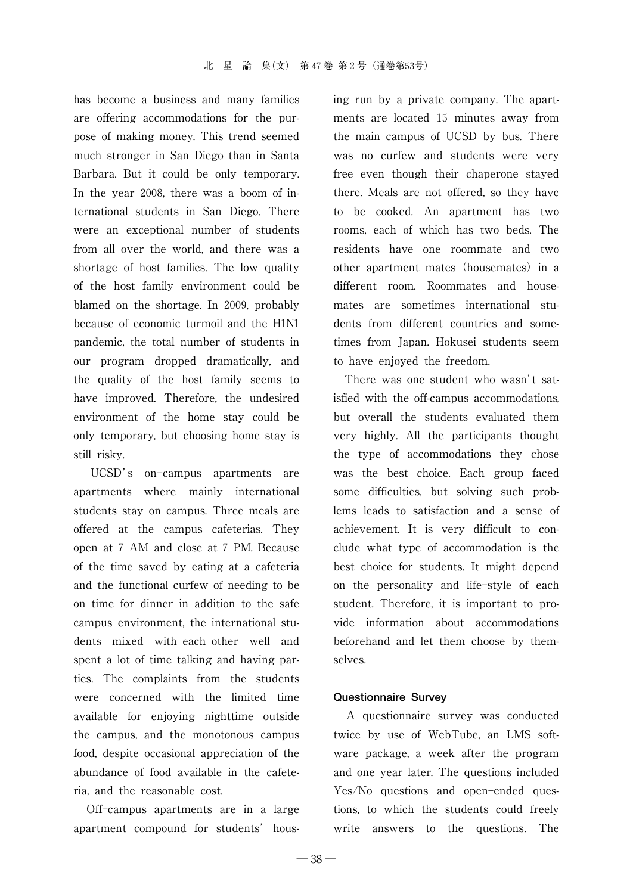has become a business and many families are offering accommodations for the purpose of making money. This trend seemed much stronger in San Diego than in Santa Barbara. But it could be only temporary. In the year 2008, there was a boom of international students in San Diego. There were an exceptional number of students from all over the world, and there was a shortage of host families. The low quality of the host family environment could be blamed on the shortage. In 2009, probably because of economic turmoil and the H1N1 pandemic, the total number of students in our program dropped dramatically, and the quality of the host family seems to have improved. Therefore, the undesired environment of the home stay could be only temporary, but choosing home stay is still risky.

UCSD's on-campus apartments are apartments where mainly international students stay on campus. Three meals are offered at the campus cafeterias. They open at 7 AM and close at 7 PM. Because of the time saved by eating at a cafeteria and the functional curfew of needing to be on time for dinner in addition to the safe campus environment, the international students mixed with each other well and spent a lot of time talking and having parties. The complaints from the students were concerned with the limited time available for enjoying nighttime outside the campus, and the monotonous campus food, despite occasional appreciation of the abundance of food available in the cafeteria, and the reasonable cost.

Off-campus apartments are in a large apartment compound for students' housing run by a private company. The apartments are located 15 minutes away from the main campus of UCSD by bus. There was no curfew and students were very free even though their chaperone stayed there. Meals are not offered, so they have to be cooked. An apartment has two rooms, each of which has two beds. The residents have one roommate and two other apartment mates (housemates) in a different room. Roommates and housemates are sometimes international students from different countries and sometimes from Japan. Hokusei students seem to have enjoyed the freedom.

There was one student who wasn't satisfied with the off-campus accommodations, but overall the students evaluated them very highly. All the participants thought the type of accommodations they chose was the best choice. Each group faced some difficulties, but solving such problems leads to satisfaction and a sense of achievement. It is very difficult to conclude what type of accommodation is the best choice for students. It might depend on the personality and life-style of each student. Therefore, it is important to provide information about accommodations beforehand and let them choose by themselves.

#### **Questionnaire Survey**

A questionnaire survey was conducted twice by use of WebTube, an LMS software package, a week after the program and one year later. The questions included Yes/No questions and open-ended questions, to which the students could freely write answers to the questions. The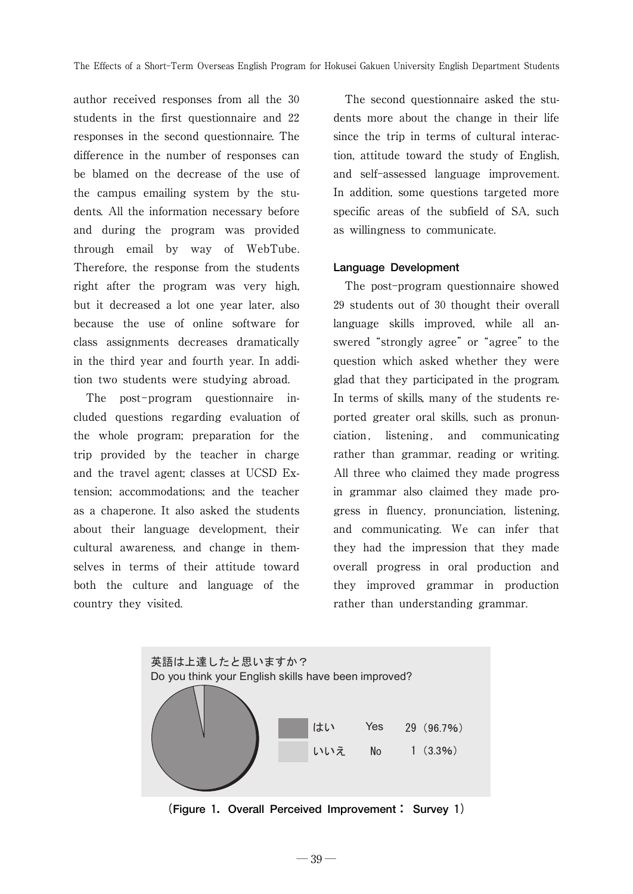author received responses from all the 30 students in the first questionnaire and 22 responses in the second questionnaire. The difference in the number of responses can be blamed on the decrease of the use of the campus emailing system by the students. All the information necessary before and during the program was provided through email by way of WebTube. Therefore, the response from the students right after the program was very high, but it decreased a lot one year later, also because the use of online software for class assignments decreases dramatically in the third year and fourth year. In addition two students were studying abroad.

The post-program questionnaire included questions regarding evaluation of the whole program; preparation for the trip provided by the teacher in charge and the travel agent; classes at UCSD Extension; accommodations; and the teacher as a chaperone. It also asked the students about their language development, their cultural awareness, and change in themselves in terms of their attitude toward both the culture and language of the country they visited.

The second questionnaire asked the students more about the change in their life since the trip in terms of cultural interaction, attitude toward the study of English, and self-assessed language improvement. In addition, some questions targeted more specific areas of the subfield of SA, such as willingness to communicate.

#### **Language Development**

The post-program questionnaire showed 29 students out of 30 thought their overall language skills improved, while all answered "strongly agree" or "agree" to the question which asked whether they were glad that they participated in the program. In terms of skills, many of the students reported greater oral skills, such as pronunciation , listening , and communicating rather than grammar, reading or writing. All three who claimed they made progress in grammar also claimed they made progress in fluency, pronunciation, listening, and communicating. We can infer that they had the impression that they made overall progress in oral production and they improved grammar in production rather than understanding grammar.



**(Figure 1.Overall Perceived Improvement: Survey 1)**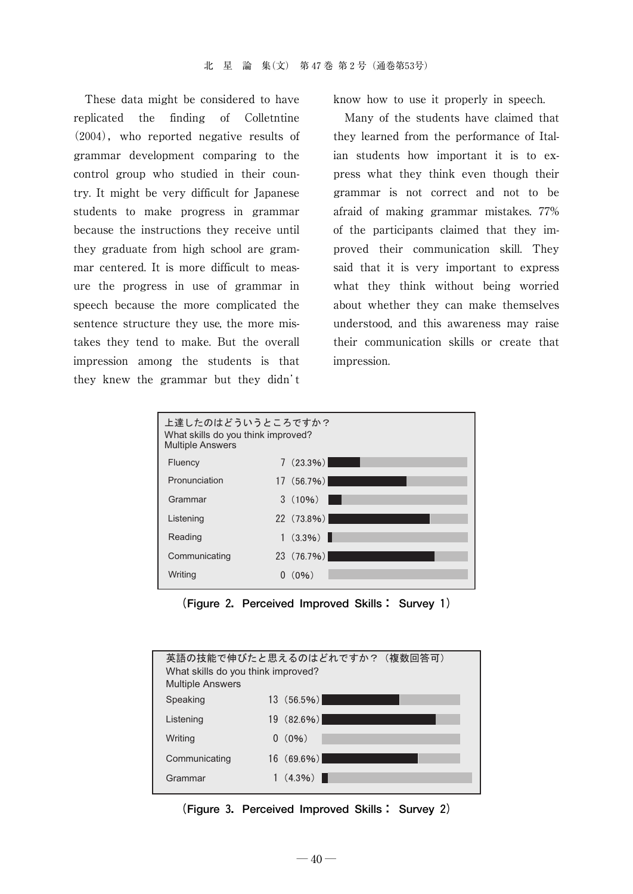These data might be considered to have replicated the finding of Colletntine  $(2004)$ , who reported negative results of grammar development comparing to the control group who studied in their country. It might be very difficult for Japanese students to make progress in grammar because the instructions they receive until they graduate from high school are grammar centered. It is more difficult to measure the progress in use of grammar in speech because the more complicated the sentence structure they use, the more mistakes they tend to make. But the overall impression among the students is that they knew the grammar but they didn't

know how to use it properly in speech.

Many of the students have claimed that they learned from the performance of Italian students how important it is to express what they think even though their grammar is not correct and not to be afraid of making grammar mistakes. 77% of the participants claimed that they improved their communication skill. They said that it is very important to express what they think without being worried about whether they can make themselves understood, and this awareness may raise their communication skills or create that impression.



**(Figure 2.Perceived Improved Skills: Survey 1)**

| What skills do you think improved?<br><b>Multiple Answers</b> | 英語の技能で伸びたと思えるのはどれですか?(複数回答可) |
|---------------------------------------------------------------|------------------------------|
| Speaking                                                      | $13(56.5\%)$                 |
| Listening                                                     | $19(82.6\%)$                 |
| Writing                                                       | $0(0\%)$                     |
| Communicating                                                 | $16(69.6\%)$                 |
| Grammar                                                       | $(4.3\%)$                    |

**(Figure 3.Perceived Improved Skills: Survey 2)**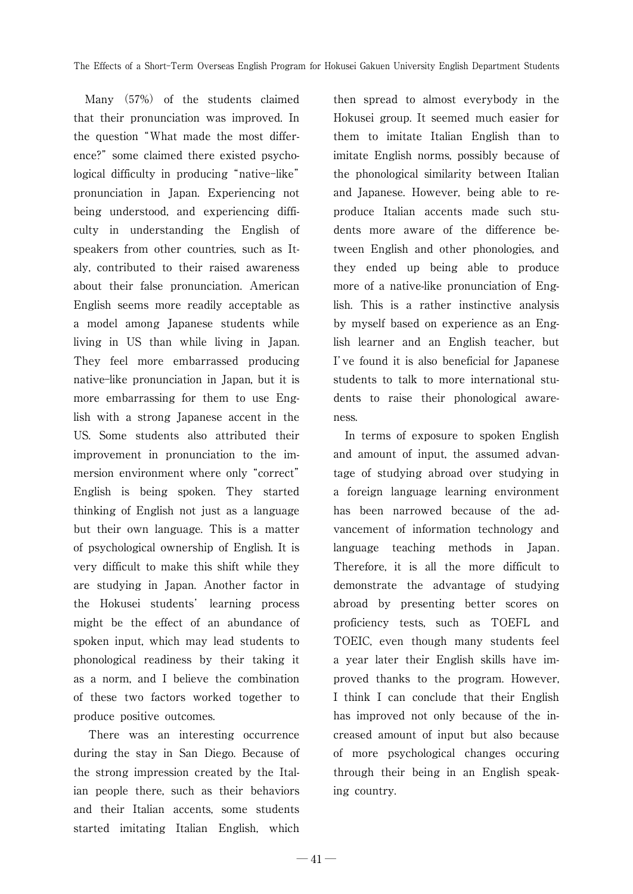Many (57%) of the students claimed that their pronunciation was improved. In the question"What made the most difference?" some claimed there existed psychological difficulty in producing "native-like" pronunciation in Japan. Experiencing not being understood, and experiencing difficulty in understanding the English of speakers from other countries, such as Italy, contributed to their raised awareness about their false pronunciation. American English seems more readily acceptable as a model among Japanese students while living in US than while living in Japan. They feel more embarrassed producing nativelike pronunciation in Japan, but it is more embarrassing for them to use English with a strong Japanese accent in the US. Some students also attributed their improvement in pronunciation to the immersion environment where only"correct" English is being spoken. They started thinking of English not just as a language but their own language. This is a matter of psychological ownership of English. It is very difficult to make this shift while they are studying in Japan. Another factor in the Hokusei students' learning process might be the effect of an abundance of spoken input, which may lead students to phonological readiness by their taking it as a norm, and I believe the combination of these two factors worked together to produce positive outcomes.

There was an interesting occurrence during the stay in San Diego. Because of the strong impression created by the Italian people there, such as their behaviors and their Italian accents, some students started imitating Italian English, which

then spread to almost everybody in the Hokusei group. It seemed much easier for them to imitate Italian English than to imitate English norms, possibly because of the phonological similarity between Italian and Japanese. However, being able to reproduce Italian accents made such students more aware of the difference between English and other phonologies, and they ended up being able to produce more of a native-like pronunciation of English. This is a rather instinctive analysis by myself based on experience as an English learner and an English teacher, but I've found it is also beneficial for Japanese students to talk to more international students to raise their phonological awareness.

In terms of exposure to spoken English and amount of input, the assumed advantage of studying abroad over studying in a foreign language learning environment has been narrowed because of the advancement of information technology and language teaching methods in Japan. Therefore, it is all the more difficult to demonstrate the advantage of studying abroad by presenting better scores on proficiency tests, such as TOEFL and TOEIC, even though many students feel a year later their English skills have improved thanks to the program. However, I think I can conclude that their English has improved not only because of the increased amount of input but also because of more psychological changes occuring through their being in an English speaking country.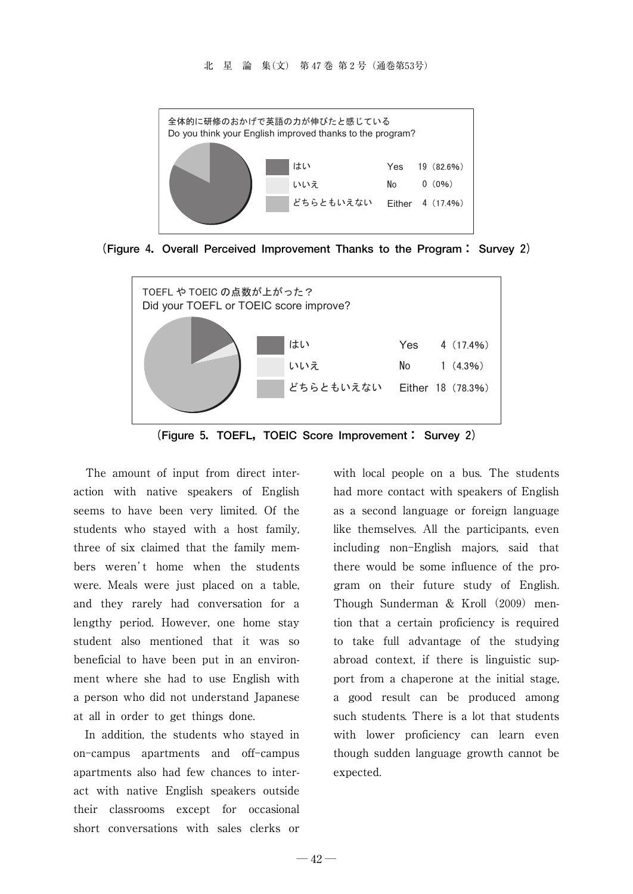

**(Figure 4.Overall Perceived Improvement Thanks to the Program: Survey 2)**



**(Figure 5.TOEFL,TOEIC Score Improvement: Survey 2)**

The amount of input from direct interaction with native speakers of English seems to have been very limited. Of the students who stayed with a host family, three of six claimed that the family members weren't home when the students were. Meals were just placed on a table, and they rarely had conversation for a lengthy period. However, one home stay student also mentioned that it was so beneficial to have been put in an environment where she had to use English with a person who did not understand Japanese at all in order to get things done.

In addition, the students who stayed in on-campus apartments and off-campus apartments also had few chances to interact with native English speakers outside their classrooms except for occasional short conversations with sales clerks or with local people on a bus. The students had more contact with speakers of English as a second language or foreign language like themselves. All the participants, even including non-English majors, said that there would be some influence of the program on their future study of English. Though Sunderman & Kroll  $(2009)$  mention that a certain proficiency is required to take full advantage of the studying abroad context, if there is linguistic support from a chaperone at the initial stage, a good result can be produced among such students. There is a lot that students with lower proficiency can learn even though sudden language growth cannot be expected.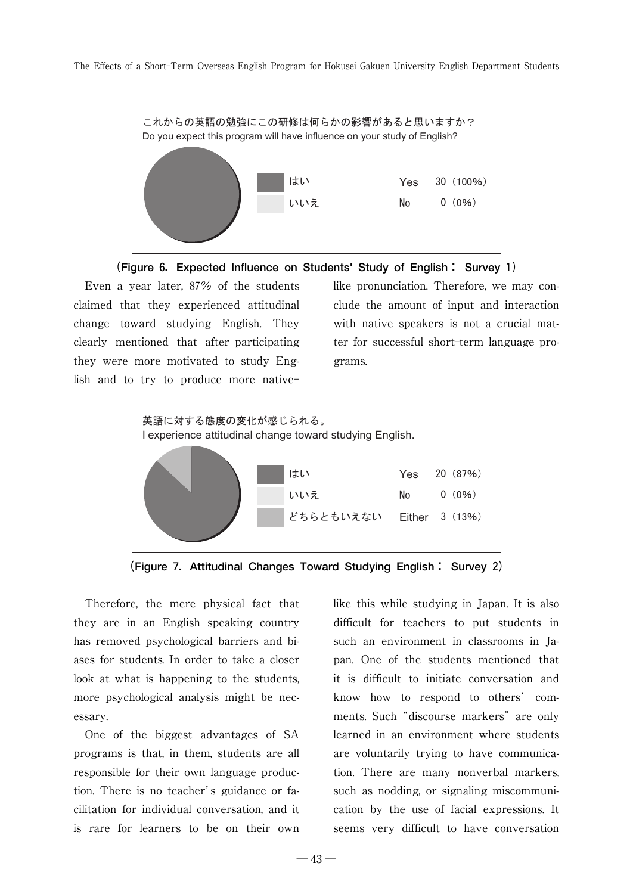The Effects of a Short-Term Overseas English Program for Hokusei Gakuen University English Department Students





Even a year later, 87% of the students claimed that they experienced attitudinal change toward studying English. They clearly mentioned that after participating they were more motivated to study English and to try to produce more native

like pronunciation. Therefore, we may conclude the amount of input and interaction with native speakers is not a crucial matter for successful short-term language programs.



**(Figure 7.Attitudinal Changes Toward Studying English: Survey 2)**

Therefore, the mere physical fact that they are in an English speaking country has removed psychological barriers and biases for students. In order to take a closer look at what is happening to the students, more psychological analysis might be necessary.

One of the biggest advantages of SA programs is that, in them, students are all responsible for their own language production. There is no teacher's guidance or facilitation for individual conversation, and it is rare for learners to be on their own

like this while studying in Japan. It is also difficult for teachers to put students in such an environment in classrooms in Japan. One of the students mentioned that it is difficult to initiate conversation and know how to respond to others' comments. Such "discourse markers" are only learned in an environment where students are voluntarily trying to have communication. There are many nonverbal markers, such as nodding, or signaling miscommunication by the use of facial expressions. It seems very difficult to have conversation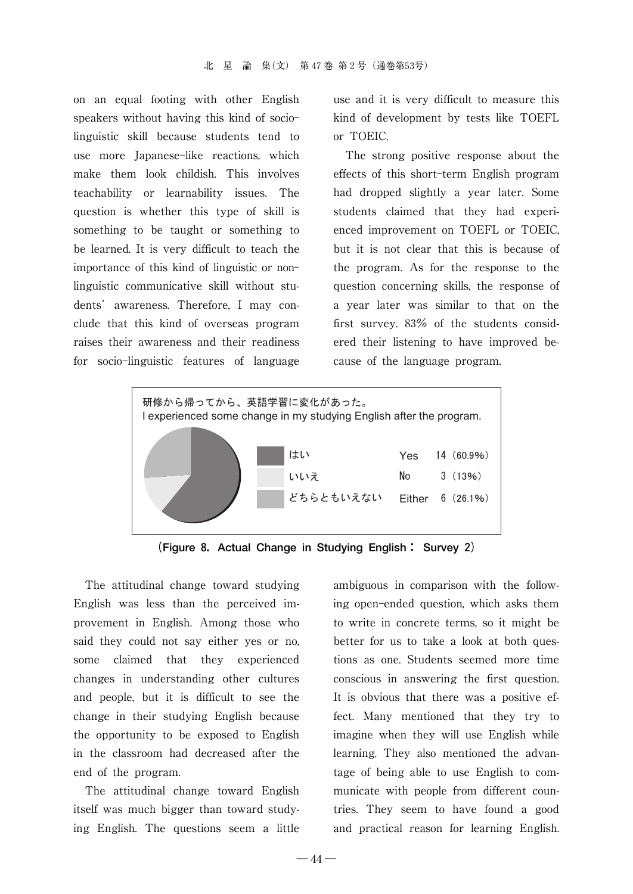on an equal footing with other English speakers without having this kind of socio linguistic skill because students tend to use more Japanese-like reactions, which make them look childish. This involves teachability or learnability issues. The question is whether this type of skill is something to be taught or something to be learned. It is very difficult to teach the importance of this kind of linguistic or non linguistic communicative skill without students' awareness. Therefore, I may conclude that this kind of overseas program raises their awareness and their readiness for socio-linguistic features of language

use and it is very difficult to measure this kind of development by tests like TOEFL or TOEIC.

The strong positive response about the effects of this short-term English program had dropped slightly a year later. Some students claimed that they had experienced improvement on TOEFL or TOEIC, but it is not clear that this is because of the program. As for the response to the question concerning skills, the response of a year later was similar to that on the first survey. 83% of the students considered their listening to have improved because of the language program.



**(Figure 8.Actual Change in Studying English: Survey 2)**

The attitudinal change toward studying English was less than the perceived improvement in English. Among those who said they could not say either yes or no, some claimed that they experienced changes in understanding other cultures and people, but it is difficult to see the change in their studying English because the opportunity to be exposed to English in the classroom had decreased after the end of the program.

The attitudinal change toward English itself was much bigger than toward studying English. The questions seem a little

ambiguous in comparison with the following open-ended question, which asks them to write in concrete terms, so it might be better for us to take a look at both questions as one. Students seemed more time conscious in answering the first question. It is obvious that there was a positive effect. Many mentioned that they try to imagine when they will use English while learning. They also mentioned the advantage of being able to use English to communicate with people from different countries. They seem to have found a good and practical reason for learning English.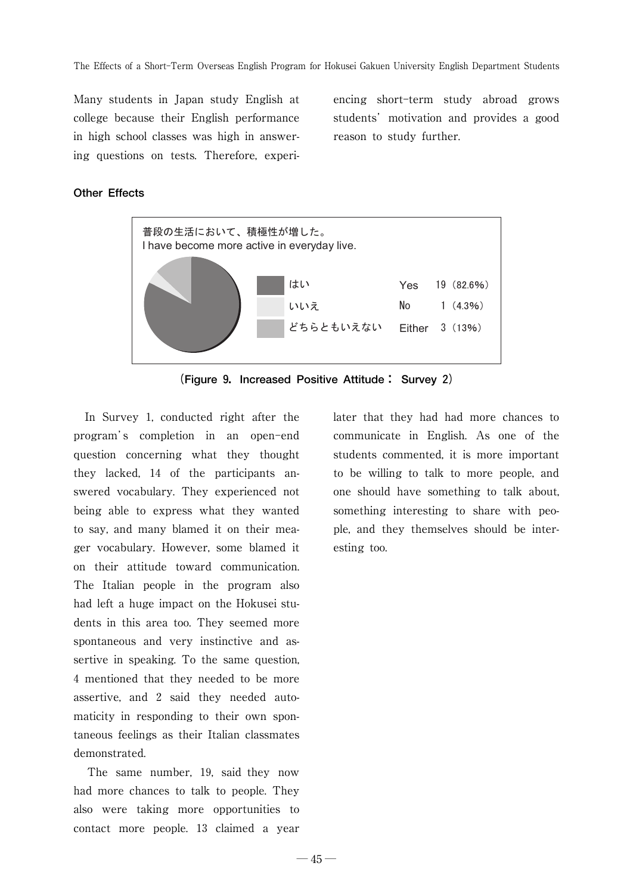Many students in Japan study English at college because their English performance in high school classes was high in answering questions on tests. Therefore, experiencing short-term study abroad grows students' motivation and provides a good reason to study further.

#### **Other Effects**



**(Figure 9.Increased Positive Attitude: Survey 2)**

In Survey 1, conducted right after the program's completion in an open-end question concerning what they thought they lacked, 14 of the participants answered vocabulary. They experienced not being able to express what they wanted to say, and many blamed it on their meager vocabulary. However, some blamed it on their attitude toward communication. The Italian people in the program also had left a huge impact on the Hokusei students in this area too. They seemed more spontaneous and very instinctive and assertive in speaking. To the same question, 4 mentioned that they needed to be more assertive, and 2 said they needed automaticity in responding to their own spontaneous feelings as their Italian classmates demonstrated.

The same number, 19, said they now had more chances to talk to people. They also were taking more opportunities to contact more people. 13 claimed a year

later that they had had more chances to communicate in English. As one of the students commented, it is more important to be willing to talk to more people, and one should have something to talk about, something interesting to share with people, and they themselves should be interesting too.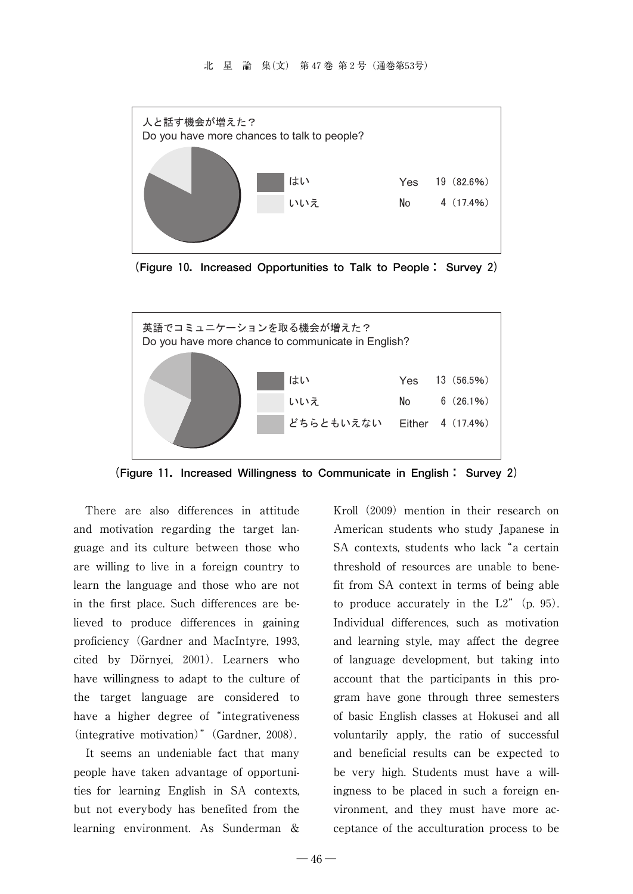

**(Figure 10.Increased Opportunities to Talk to People: Survey 2)**



**(Figure 11.Increased Willingness to Communicate in English: Survey 2)**

There are also differences in attitude and motivation regarding the target language and its culture between those who are willing to live in a foreign country to learn the language and those who are not in the first place. Such differences are believed to produce differences in gaining proficiency (Gardner and MacIntyre, 1993, cited by Dörnyei, 2001). Learners who have willingness to adapt to the culture of the target language are considered to have a higher degree of "integrativeness" (integrative motivation)"(Gardner, 2008).

It seems an undeniable fact that many people have taken advantage of opportunities for learning English in SA contexts, but not everybody has benefited from the learning environment. As Sunderman &

Kroll  $(2009)$  mention in their research on American students who study Japanese in SA contexts, students who lack "a certain threshold of resources are unable to benefit from SA context in terms of being able to produce accurately in the  $L2$ " (p. 95). Individual differences, such as motivation and learning style, may affect the degree of language development, but taking into account that the participants in this program have gone through three semesters of basic English classes at Hokusei and all voluntarily apply, the ratio of successful and beneficial results can be expected to be very high. Students must have a willingness to be placed in such a foreign environment, and they must have more acceptance of the acculturation process to be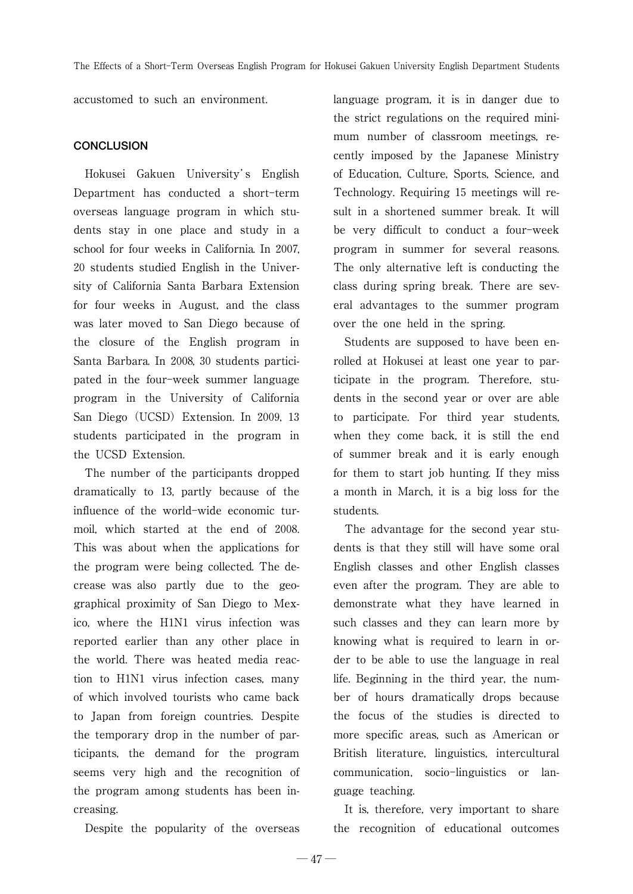accustomed to such an environment.

#### **CONCLUSION**

Hokusei Gakuen University's English Department has conducted a short-term overseas language program in which students stay in one place and study in a school for four weeks in California. In 2007, 20 students studied English in the University of California Santa Barbara Extension for four weeks in August, and the class was later moved to San Diego because of the closure of the English program in Santa Barbara. In 2008, 30 students participated in the four-week summer language program in the University of California San Diego (UCSD) Extension. In 2009, 13 students participated in the program in the UCSD Extension.

The number of the participants dropped dramatically to 13, partly because of the influence of the world-wide economic turmoil, which started at the end of 2008. This was about when the applications for the program were being collected. The decrease was also partly due to the geographical proximity of San Diego to Mexico, where the H1N1 virus infection was reported earlier than any other place in the world. There was heated media reaction to H1N1 virus infection cases, many of which involved tourists who came back to Japan from foreign countries. Despite the temporary drop in the number of participants, the demand for the program seems very high and the recognition of the program among students has been increasing.

Despite the popularity of the overseas

language program, it is in danger due to the strict regulations on the required minimum number of classroom meetings, recently imposed by the Japanese Ministry of Education, Culture, Sports, Science, and Technology. Requiring 15 meetings will result in a shortened summer break. It will be very difficult to conduct a four-week program in summer for several reasons. The only alternative left is conducting the class during spring break. There are several advantages to the summer program over the one held in the spring.

Students are supposed to have been enrolled at Hokusei at least one year to participate in the program. Therefore, students in the second year or over are able to participate. For third year students, when they come back, it is still the end of summer break and it is early enough for them to start job hunting. If they miss a month in March, it is a big loss for the students.

The advantage for the second year students is that they still will have some oral English classes and other English classes even after the program. They are able to demonstrate what they have learned in such classes and they can learn more by knowing what is required to learn in order to be able to use the language in real life. Beginning in the third year, the number of hours dramatically drops because the focus of the studies is directed to more specific areas, such as American or British literature, linguistics, intercultural communication, socio-linguistics or language teaching.

It is, therefore, very important to share the recognition of educational outcomes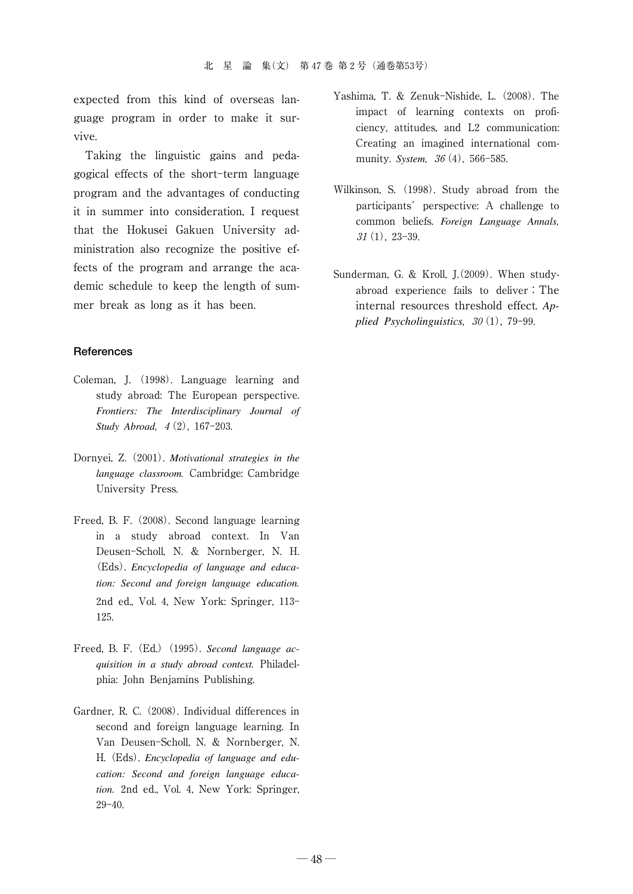expected from this kind of overseas language program in order to make it survive.

Taking the linguistic gains and pedagogical effects of the short-term language program and the advantages of conducting it in summer into consideration, I request that the Hokusei Gakuen University administration also recognize the positive effects of the program and arrange the academic schedule to keep the length of summer break as long as it has been.

#### **References**

- Coleman, J. (1998). Language learning and study abroad: The European perspective. *Frontiers: The Interdisciplinary Journal of Study Abroad,* 4(2), 167-203.
- Dornyei, Z.(2001). *Motivational strategies in the language classroom.* Cambridge: Cambridge University Press.
- Freed, B. F.(2008). Second language learning in a study abroad context. In Van Deusen-Scholl, N. & Nornberger, N. H. (Eds). *Encyclopedia of language and education: Second and foreign language education.* 2nd ed., Vol. 4, New York: Springer, 113 125.
- Freed, B. F. (Ed.) (1995). *Second language acquisition in a study abroad context.* Philadelphia: John Benjamins Publishing.
- Gardner, R. C.(2008). Individual differences in second and foreign language learning. In Van Deusen-Scholl, N. & Nornberger, N. H.(Eds). *Encyclopedia of language and education: Second and foreign language education.* 2nd ed., Vol. 4, New York: Springer,  $29 - 40.$
- Yashima, T. & Zenuk-Nishide, L. (2008). The impact of learning contexts on proficiency, attitudes, and L2 communication: Creating an imagined international community. *System,* 36 (4), 566-585.
- Wilkinson, S. (1998). Study abroad from the participants' perspective: A challenge to common beliefs. *Foreign Language Annals,*  $31(1)$ , 23-39.
- Sunderman, G. & Kroll, J.(2009). When studyabroad experience fails to deliver: The internal resources threshold effect. *Applied Psycholinguistics,*  $30(1)$ , 79-99.